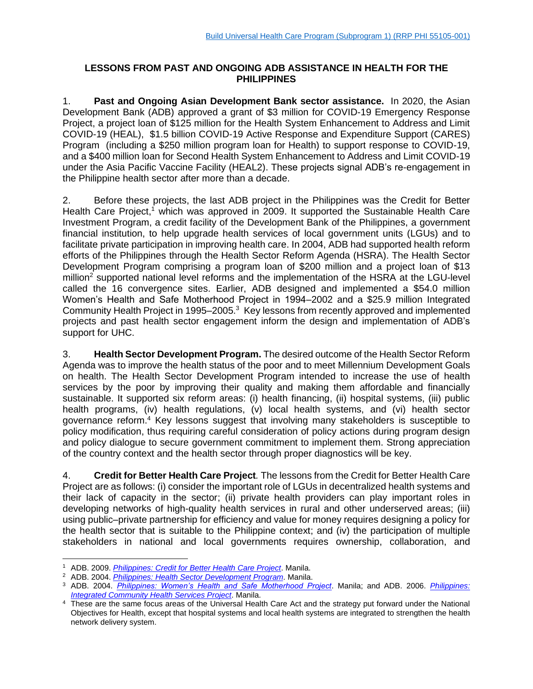## **LESSONS FROM PAST AND ONGOING ADB ASSISTANCE IN HEALTH FOR THE PHILIPPINES**

1. **Past and Ongoing Asian Development Bank sector assistance.** In 2020, the Asian Development Bank (ADB) approved a grant of \$3 million for COVID-19 Emergency Response Project, a project loan of \$125 million for the Health System Enhancement to Address and Limit COVID-19 (HEAL), \$1.5 billion COVID-19 Active Response and Expenditure Support (CARES) Program (including a \$250 million program loan for Health) to support response to COVID-19, and a \$400 million loan for Second Health System Enhancement to Address and Limit COVID-19 under the Asia Pacific Vaccine Facility (HEAL2). These projects signal ADB's re-engagement in the Philippine health sector after more than a decade.

2. Before these projects, the last ADB project in the Philippines was the Credit for Better Health Care Project,<sup>1</sup> which was approved in 2009. It supported the Sustainable Health Care Investment Program, a credit facility of the Development Bank of the Philippines, a government financial institution, to help upgrade health services of local government units (LGUs) and to facilitate private participation in improving health care. In 2004, ADB had supported health reform efforts of the Philippines through the Health Sector Reform Agenda (HSRA). The Health Sector Development Program comprising a program loan of \$200 million and a project loan of \$13 million<sup>2</sup> supported national level reforms and the implementation of the HSRA at the LGU-level called the 16 convergence sites. Earlier, ADB designed and implemented a \$54.0 million Women's Health and Safe Motherhood Project in 1994–2002 and a \$25.9 million Integrated Community Health Project in 1995–2005.<sup>3</sup> Key lessons from recently approved and implemented projects and past health sector engagement inform the design and implementation of ADB's support for UHC.

3. **Health Sector Development Program.** The desired outcome of the Health Sector Reform Agenda was to improve the health status of the poor and to meet Millennium Development Goals on health. The Health Sector Development Program intended to increase the use of health services by the poor by improving their quality and making them affordable and financially sustainable. It supported six reform areas: (i) health financing, (ii) hospital systems, (iii) public health programs, (iv) health regulations, (v) local health systems, and (vi) health sector governance reform.<sup>4</sup> Key lessons suggest that involving many stakeholders is susceptible to policy modification, thus requiring careful consideration of policy actions during program design and policy dialogue to secure government commitment to implement them. Strong appreciation of the country context and the health sector through proper diagnostics will be key.

4. **Credit for Better Health Care Project***.* The lessons from the Credit for Better Health Care Project are as follows: (i) consider the important role of LGUs in decentralized health systems and their lack of capacity in the sector; (ii) private health providers can play important roles in developing networks of high-quality health services in rural and other underserved areas; (iii) using public–private partnership for efficiency and value for money requires designing a policy for the health sector that is suitable to the Philippine context; and (iv) the participation of multiple stakeholders in national and local governments requires ownership, collaboration, and

<sup>1</sup> ADB. 2009. *Philippines: Credit for Better Health Care Project*. Manila.

<sup>2</sup> ADB. 2004. *Philippines: Health Sector Development Program*. Manila.

<sup>3</sup> ADB. 2004. *Philippines: Women's Health and Safe Motherhood Project*. Manila; and ADB. 2006. *Philippines: Integrated Community Health Services Project*. Manila.

<sup>&</sup>lt;sup>4</sup> These are the same focus areas of the Universal Health Care Act and the strategy put forward under the National Objectives for Health, except that hospital systems and local health systems are integrated to strengthen the health network delivery system.